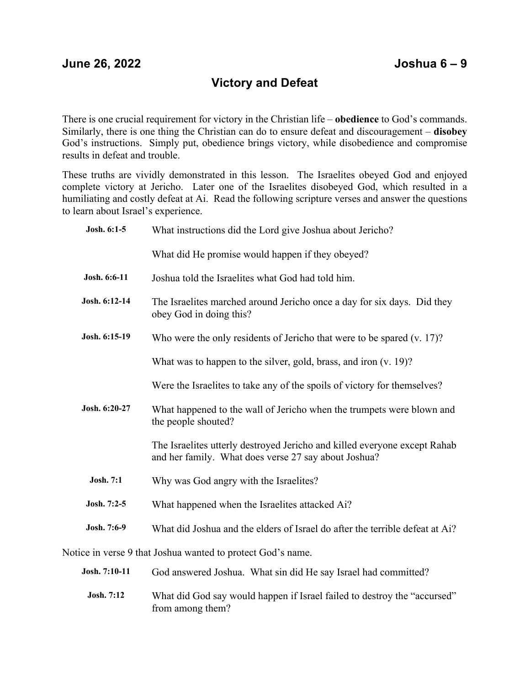## **Victory and Defeat**

There is one crucial requirement for victory in the Christian life – **obedience** to God's commands. Similarly, there is one thing the Christian can do to ensure defeat and discouragement – **disobey** God's instructions. Simply put, obedience brings victory, while disobedience and compromise results in defeat and trouble.

These truths are vividly demonstrated in this lesson. The Israelites obeyed God and enjoyed complete victory at Jericho. Later one of the Israelites disobeyed God, which resulted in a humiliating and costly defeat at Ai. Read the following scripture verses and answer the questions to learn about Israel's experience.

| Josh. 6:1-5                                                 | What instructions did the Lord give Joshua about Jericho?                                                                         |
|-------------------------------------------------------------|-----------------------------------------------------------------------------------------------------------------------------------|
|                                                             | What did He promise would happen if they obeyed?                                                                                  |
| Josh. 6:6-11                                                | Joshua told the Israelites what God had told him.                                                                                 |
| Josh. 6:12-14                                               | The Israelites marched around Jericho once a day for six days. Did they<br>obey God in doing this?                                |
| Josh. 6:15-19                                               | Who were the only residents of Jericho that were to be spared $(v. 17)$ ?                                                         |
|                                                             | What was to happen to the silver, gold, brass, and iron $(v. 19)$ ?                                                               |
|                                                             | Were the Israelites to take any of the spoils of victory for themselves?                                                          |
| Josh. 6:20-27                                               | What happened to the wall of Jericho when the trumpets were blown and<br>the people shouted?                                      |
|                                                             | The Israelites utterly destroyed Jericho and killed everyone except Rahab<br>and her family. What does verse 27 say about Joshua? |
| Josh. 7:1                                                   | Why was God angry with the Israelites?                                                                                            |
| Josh. 7:2-5                                                 | What happened when the Israelites attacked Ai?                                                                                    |
| Josh. 7:6-9                                                 | What did Joshua and the elders of Israel do after the terrible defeat at Ai?                                                      |
| Notice in verse 9 that Joshua wanted to protect God's name. |                                                                                                                                   |
| Josh. 7:10-11                                               | God answered Joshua. What sin did He say Israel had committed?                                                                    |
|                                                             |                                                                                                                                   |

**Josh. 7:12** What did God say would happen if Israel failed to destroy the "accursed" from among them?